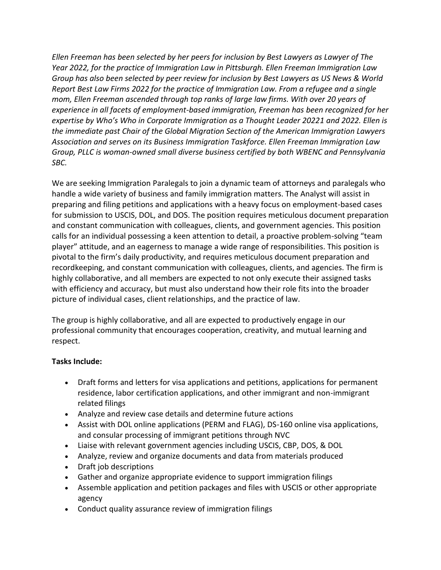*Ellen Freeman has been selected by her peers for inclusion by Best Lawyers as Lawyer of The Year 2022, for the practice of Immigration Law in Pittsburgh. Ellen Freeman Immigration Law Group has also been selected by peer review for inclusion by Best Lawyers as US News & World Report Best Law Firms 2022 for the practice of Immigration Law. From a refugee and a single mom, Ellen Freeman ascended through top ranks of large law firms. With over 20 years of experience in all facets of employment-based immigration, Freeman has been recognized for her expertise by Who's Who in Corporate Immigration as a Thought Leader 20221 and 2022. Ellen is the immediate past Chair of the Global Migration Section of the American Immigration Lawyers Association and serves on its Business Immigration Taskforce. Ellen Freeman Immigration Law Group, PLLC is woman-owned small diverse business certified by both WBENC and Pennsylvania SBC.*

We are seeking Immigration Paralegals to join a dynamic team of attorneys and paralegals who handle a wide variety of business and family immigration matters. The Analyst will assist in preparing and filing petitions and applications with a heavy focus on employment-based cases for submission to USCIS, DOL, and DOS. The position requires meticulous document preparation and constant communication with colleagues, clients, and government agencies. This position calls for an individual possessing a keen attention to detail, a proactive problem-solving "team player" attitude, and an eagerness to manage a wide range of responsibilities. This position is pivotal to the firm's daily productivity, and requires meticulous document preparation and recordkeeping, and constant communication with colleagues, clients, and agencies. The firm is highly collaborative, and all members are expected to not only execute their assigned tasks with efficiency and accuracy, but must also understand how their role fits into the broader picture of individual cases, client relationships, and the practice of law.

The group is highly collaborative, and all are expected to productively engage in our professional community that encourages cooperation, creativity, and mutual learning and respect.

## **Tasks Include:**

- Draft forms and letters for visa applications and petitions, applications for permanent residence, labor certification applications, and other immigrant and non-immigrant related filings
- Analyze and review case details and determine future actions
- Assist with DOL online applications (PERM and FLAG), DS-160 online visa applications, and consular processing of immigrant petitions through NVC
- Liaise with relevant government agencies including USCIS, CBP, DOS, & DOL
- Analyze, review and organize documents and data from materials produced
- Draft job descriptions
- Gather and organize appropriate evidence to support immigration filings
- Assemble application and petition packages and files with USCIS or other appropriate agency
- Conduct quality assurance review of immigration filings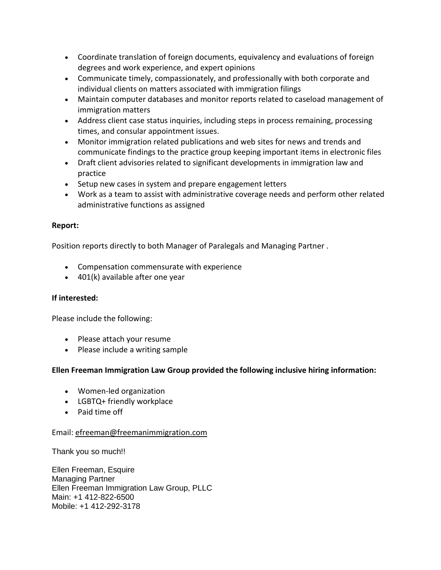- Coordinate translation of foreign documents, equivalency and evaluations of foreign degrees and work experience, and expert opinions
- Communicate timely, compassionately, and professionally with both corporate and individual clients on matters associated with immigration filings
- Maintain computer databases and monitor reports related to caseload management of immigration matters
- Address client case status inquiries, including steps in process remaining, processing times, and consular appointment issues.
- Monitor immigration related publications and web sites for news and trends and communicate findings to the practice group keeping important items in electronic files
- Draft client advisories related to significant developments in immigration law and practice
- Setup new cases in system and prepare engagement letters
- Work as a team to assist with administrative coverage needs and perform other related administrative functions as assigned

## **Report:**

Position reports directly to both Manager of Paralegals and Managing Partner .

- Compensation commensurate with experience
- 401(k) available after one year

## **If interested:**

Please include the following:

- Please attach your resume
- Please include a writing sample

## **Ellen Freeman Immigration Law Group provided the following inclusive hiring information:**

- Women-led organization
- LGBTQ+ friendly workplace
- Paid time off

### Email: [efreeman@freemanimmigration.com](mailto:efreeman@freemanimmigration.com)

Thank you so much!!

Ellen Freeman, Esquire Managing Partner Ellen Freeman Immigration Law Group, PLLC Main: +1 412-822-6500 Mobile: +1 412-292-3178